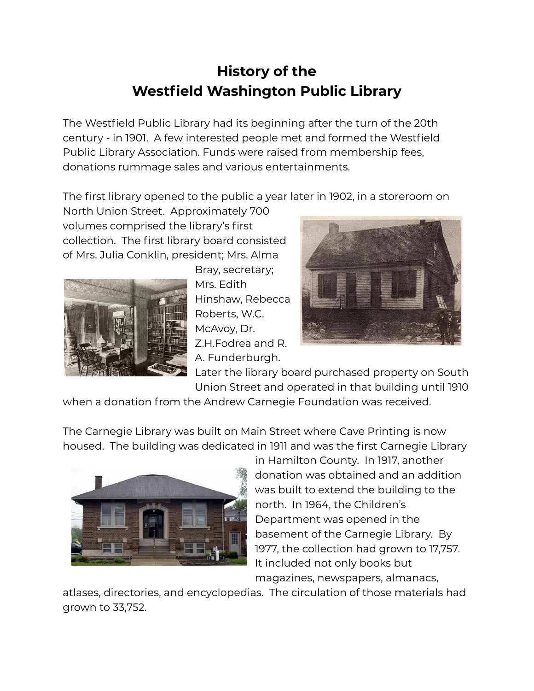## **History of the Westfield Washington Public Library**

The Westfield Public Library had its beginning after the turn of the 20th century - in 1901. A few interested people met and formed the Westfield Public Library Association. Funds were raised from membership fees, donations rummage sales and various entertainments.

The first library opened to the public a year later in 1902, in a storeroom on

North Union Street. Approximately 700 volumes comprised the library's first collection. The first library board consisted of Mrs. Julia Conklin, president; Mrs. Alma



Bray, secretary; Mrs. Edith Hinshaw, Rebecca Roberts, W.C. McAvoy, Dr. Z.H.Fodrea and R. A. Funderburgh.



Later the library board purchased property on South Union Street and operated in that building until 1910

when a donation from the Andrew Carnegie Foundation was received.

The Carnegie Library was built on Main Street where Cave Printing is now housed. The building was dedicated in 1911 and was the first Carnegie Library



in Hamilton County. In 1917, another donation was obtained and an addition was built to extend the building to the north. In 1964, the Children's Department was opened in the basement of the Carnegie Library. By 1977, the collection had grown to 17,757. It included not only books but magazines, newspapers, almanacs,

atlases, directories, and encyclopedias. The circulation of those materials had grown to 33,752.